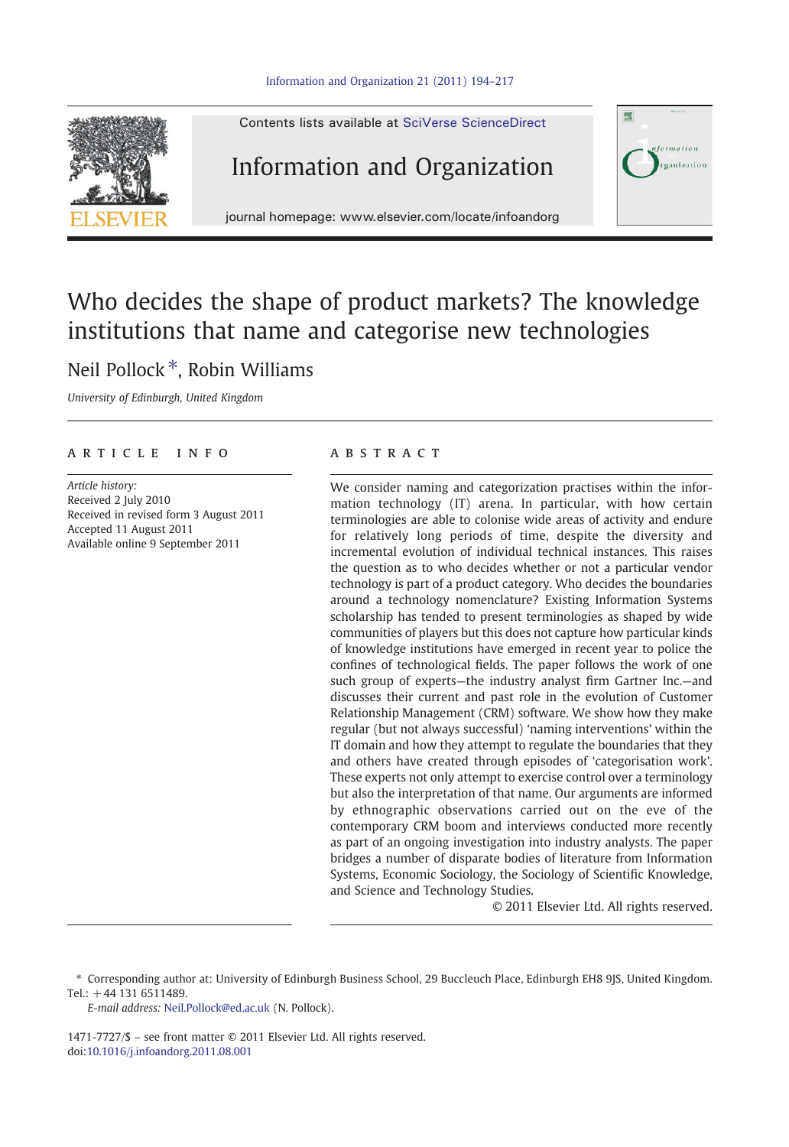#### [Information and Organization 21 \(2011\) 194](http://dx.doi.org/10.1016/j.infoandorg.2011.08.001)–217



## Who decides the shape of product markets? The knowledge institutions that name and categorise new technologies

### Neil Pollock<sup>\*</sup>, Robin Williams

University of Edinburgh, United Kingdom

### article info abstract

Article history: Received 2 July 2010 Received in revised form 3 August 2011 Accepted 11 August 2011 Available online 9 September 2011

We consider naming and categorization practises within the information technology (IT) arena. In particular, with how certain terminologies are able to colonise wide areas of activity and endure for relatively long periods of time, despite the diversity and incremental evolution of individual technical instances. This raises the question as to who decides whether or not a particular vendor technology is part of a product category. Who decides the boundaries around a technology nomenclature? Existing Information Systems scholarship has tended to present terminologies as shaped by wide communities of players but this does not capture how particular kinds of knowledge institutions have emerged in recent year to police the confines of technological fields. The paper follows the work of one such group of experts—the industry analyst firm Gartner Inc.—and discusses their current and past role in the evolution of Customer Relationship Management (CRM) software. We show how they make regular (but not always successful) 'naming interventions' within the IT domain and how they attempt to regulate the boundaries that they and others have created through episodes of 'categorisation work'. These experts not only attempt to exercise control over a terminology but also the interpretation of that name. Our arguments are informed by ethnographic observations carried out on the eve of the contemporary CRM boom and interviews conducted more recently as part of an ongoing investigation into industry analysts. The paper bridges a number of disparate bodies of literature from Information Systems, Economic Sociology, the Sociology of Scientific Knowledge, and Science and Technology Studies.

© 2011 Elsevier Ltd. All rights reserved.

E-mail address: [Neil.Pollock@ed.ac.uk](mailto:Neil.Pollock@ed.ac.uk) (N. Pollock).

1471-7727/\$ – see front matter © 2011 Elsevier Ltd. All rights reserved. doi:[10.1016/j.infoandorg.2011.08.001](http://dx.doi.org/10.1016/j.infoandorg.2011.08.001)

<sup>⁎</sup> Corresponding author at: University of Edinburgh Business School, 29 Buccleuch Place, Edinburgh EH8 9JS, United Kingdom. Tel.: +44 131 6511489.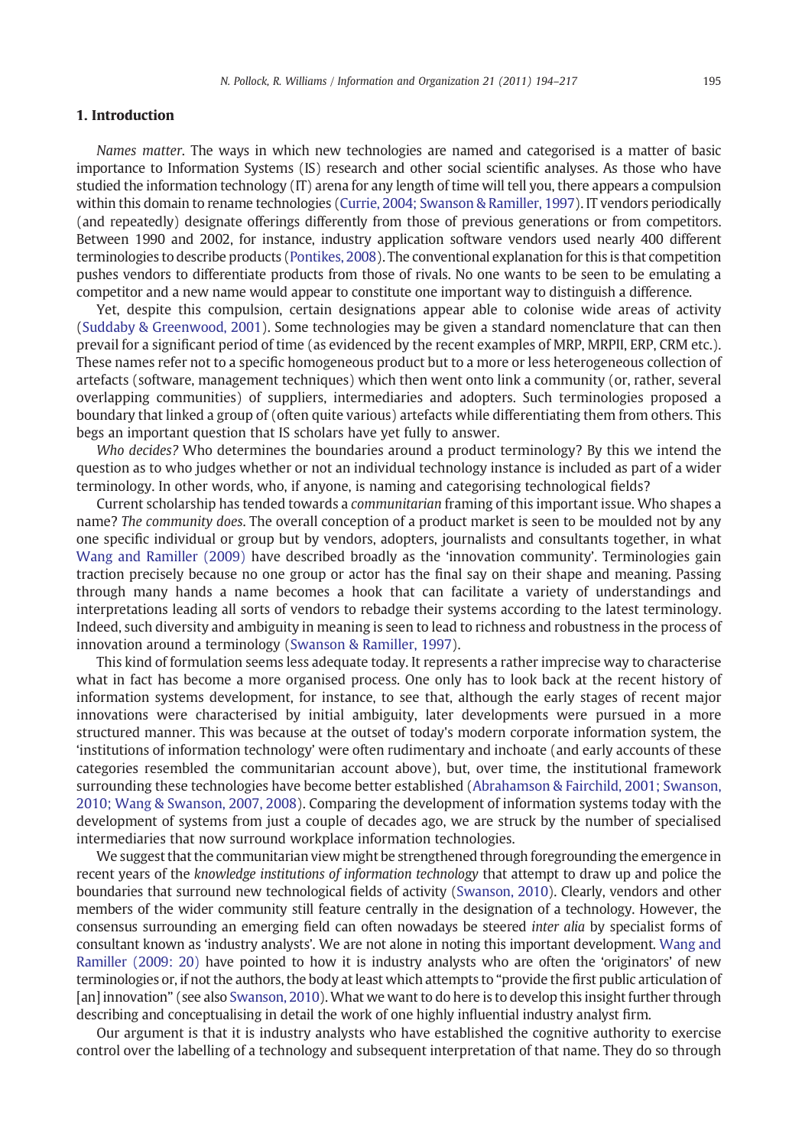#### 1. Introduction

Names matter. The ways in which new technologies are named and categorised is a matter of basic importance to Information Systems (IS) research and other social scientific analyses. As those who have studied the information technology (IT) arena for any length of time will tell you, there appears a compulsion within this domain to rename technologies ([Currie, 2004; Swanson & Ramiller, 1997\)](#page--1-0). IT vendors periodically (and repeatedly) designate offerings differently from those of previous generations or from competitors. Between 1990 and 2002, for instance, industry application software vendors used nearly 400 different terminologies to describe products [\(Pontikes, 2008](#page--1-0)). The conventional explanation for this is that competition pushes vendors to differentiate products from those of rivals. No one wants to be seen to be emulating a competitor and a new name would appear to constitute one important way to distinguish a difference.

Yet, despite this compulsion, certain designations appear able to colonise wide areas of activity ([Suddaby & Greenwood, 2001](#page--1-0)). Some technologies may be given a standard nomenclature that can then prevail for a significant period of time (as evidenced by the recent examples of MRP, MRPII, ERP, CRM etc.). These names refer not to a specific homogeneous product but to a more or less heterogeneous collection of artefacts (software, management techniques) which then went onto link a community (or, rather, several overlapping communities) of suppliers, intermediaries and adopters. Such terminologies proposed a boundary that linked a group of (often quite various) artefacts while differentiating them from others. This begs an important question that IS scholars have yet fully to answer.

Who decides? Who determines the boundaries around a product terminology? By this we intend the question as to who judges whether or not an individual technology instance is included as part of a wider terminology. In other words, who, if anyone, is naming and categorising technological fields?

Current scholarship has tended towards a communitarian framing of this important issue. Who shapes a name? The community does. The overall conception of a product market is seen to be moulded not by any one specific individual or group but by vendors, adopters, journalists and consultants together, in what [Wang and Ramiller \(2009\)](#page--1-0) have described broadly as the 'innovation community'. Terminologies gain traction precisely because no one group or actor has the final say on their shape and meaning. Passing through many hands a name becomes a hook that can facilitate a variety of understandings and interpretations leading all sorts of vendors to rebadge their systems according to the latest terminology. Indeed, such diversity and ambiguity in meaning is seen to lead to richness and robustness in the process of innovation around a terminology [\(Swanson & Ramiller, 1997](#page--1-0)).

This kind of formulation seems less adequate today. It represents a rather imprecise way to characterise what in fact has become a more organised process. One only has to look back at the recent history of information systems development, for instance, to see that, although the early stages of recent major innovations were characterised by initial ambiguity, later developments were pursued in a more structured manner. This was because at the outset of today's modern corporate information system, the 'institutions of information technology' were often rudimentary and inchoate (and early accounts of these categories resembled the communitarian account above), but, over time, the institutional framework surrounding these technologies have become better established [\(Abrahamson & Fairchild, 2001; Swanson,](#page--1-0) [2010; Wang & Swanson, 2007, 2008](#page--1-0)). Comparing the development of information systems today with the development of systems from just a couple of decades ago, we are struck by the number of specialised intermediaries that now surround workplace information technologies.

We suggest that the communitarian view might be strengthened through foregrounding the emergence in recent years of the knowledge institutions of information technology that attempt to draw up and police the boundaries that surround new technological fields of activity [\(Swanson, 2010](#page--1-0)). Clearly, vendors and other members of the wider community still feature centrally in the designation of a technology. However, the consensus surrounding an emerging field can often nowadays be steered inter alia by specialist forms of consultant known as 'industry analysts'. We are not alone in noting this important development. [Wang and](#page--1-0) [Ramiller \(2009: 20\)](#page--1-0) have pointed to how it is industry analysts who are often the 'originators' of new terminologies or, if not the authors, the body at least which attempts to "provide the first public articulation of [an] innovation" (see also [Swanson, 2010](#page--1-0)). What we want to do here is to develop this insight further through describing and conceptualising in detail the work of one highly influential industry analyst firm.

Our argument is that it is industry analysts who have established the cognitive authority to exercise control over the labelling of a technology and subsequent interpretation of that name. They do so through